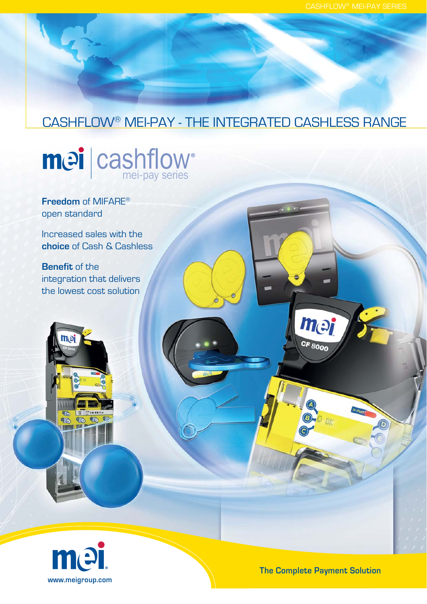# CASHFLOW® MEI-PAY - THE INTEGRATED CASHLESS RANGE



**Freedom** of MIFARE® open standard

Increased sales with the **choice** of Cash & Cashless

**Benefit** of the integration that delivers the lowest cost solution



10 10 10 9

**The Complete Payment Solution**

mei

O OK

CF 8000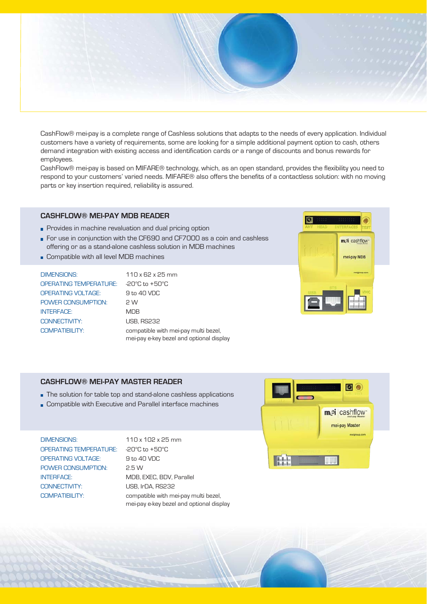

CashFlow® mei-pay is a complete range of Cashless solutions that adapts to the needs of every application. Individual customers have a variety of requirements, some are looking for a simple additional payment option to cash, others demand integration with existing access and identification cards or a range of discounts and bonus rewards for employees.

CashFlow® mei-pay is based on MIFARE® technology, which, as an open standard, provides the flexibility you need to respond to your customers' varied needs. MIFARE® also offers the benefits of a contactless solution: with no moving parts or key insertion required, reliability is assured.

# **CASHFLOW® MEI-PAY MDB READER**

- **Provides in machine revaluation and dual pricing option**
- For use in conjunction with the CF690 and CF7000 as a coin and cashless offering or as a stand-alone cashless solution in MDB machines
- Compatible with all level MDB machines

| <b>DIMENSIONS:</b>        | 110 x 62 x 25 mm                                                                 |
|---------------------------|----------------------------------------------------------------------------------|
| OPERATING TEMPERATURE:    | -20°C to +50°C                                                                   |
| <b>OPERATING VOLTAGE:</b> | 9 to 40 VDC                                                                      |
| POWER CONSUMPTION:        | 2 W                                                                              |
| <b>INTERFACE:</b>         | <b>MDB</b>                                                                       |
| CONNECTIVITY:             | <b>USB, RS232</b>                                                                |
| COMPATIBILITY:            | compatible with mei-pay multi bezel,<br>mei-pay e-key bezel and optional display |

mei cashflow mei-pay MDB

# **CASHFLOW® MEI-PAY MASTER READER**

- The solution for table top and stand-alone cashless applications
- **Compatible with Executive and Parallel interface machines**

# OPERATING TEMPERATURE: -20°C to +50°C OPERATING VOLTAGE: 9 to 40 VDC POWER CONSUMPTION: 2.5 W INTERFACE: MDB, EXEC, BDV, Parallel CONNECTIVITY: USB, IrDA, RS232

DIMENSIONS: 110 x 102 x 25 mm COMPATIBILITY: compatible with mei-pay multi bezel, mei-pay e-key bezel and optional display

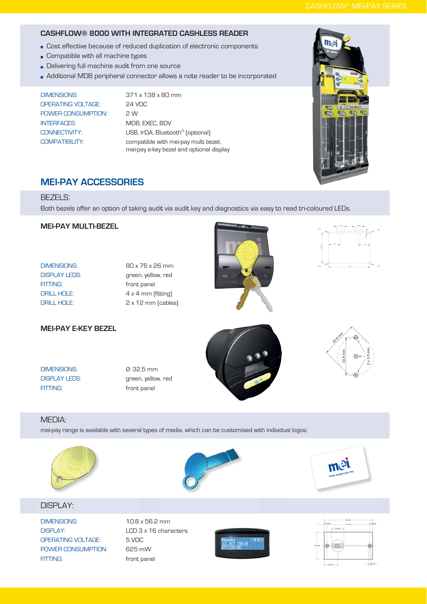# **CASHFLOW® 8000 WITH INTEGRATED CASHLESS READER**

- Cost effective because of reduced duplication of electronic components
- **Compatible with all machine types**
- Delivering full machine audit from one source
- **Additional MDB peripheral connector allows a note reader to be incorporated**

DIMENSIONS: 371 x 138 x 80 mm OPERATING VOLTAGE: 24 VDC POWER CONSUMPTION: 2 W INTERFACES: MDB, EXEC, BDV

CONNECTIVITY: USB, IrDA, Bluetooth® (optional) COMPATIBILITY: compatible with mei-pay multi bezel, mei-pay e-key bezel and optional display



# **MEI-PAY ACCESSORIES**

# BEZELS:

Both bezels offer an option of taking audit via audit key and diagnostics via easy to read tri-coloured LEDs.

# **MEI-PAY MULTI-BEZEL**

| <b>DIMENSIONS:</b>   |  |
|----------------------|--|
| <b>DISPLAY LEDS:</b> |  |
| FITTING:             |  |
| DRILL HOLE:          |  |
| DRILL HOLE:          |  |

80 x 76 x 26 mm green, yellow, red front panel  $4 \times 4$  mm (fitting) 2 x 12 mm (cables)





# **MEI-PAY E-KEY BEZEL**

DIMENSIONS: ø 32.5 mm FITTING: front panel

DISPLAY LEDS: green, yellow, red





# MEDIA:

mei-pay range is available with several types of media, which can be customised with individual logos:







# DISPLAY:

DIMENSIONS: 10.8 x 56.2 mm DISPLAY: LCD 3 x 16 characters OPERATING VOLTAGE: 5 VDC POWER CONSUMPTION: 625 mW FITTING: front panel